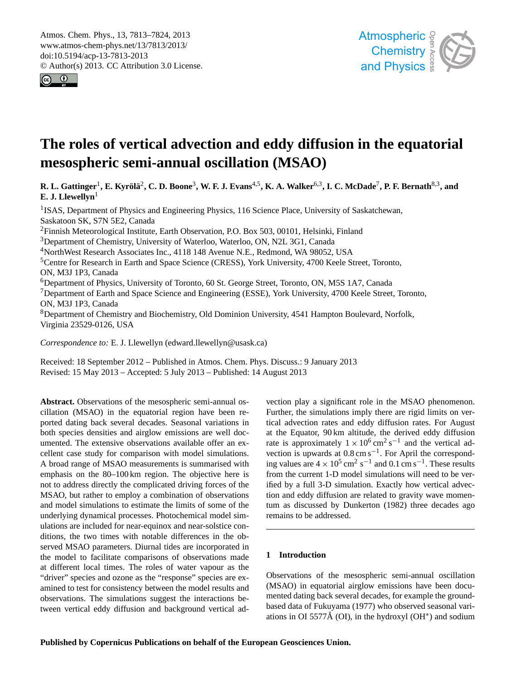<span id="page-0-0"></span>



# $h^8$ **The roles of vertical advection and eddy diffusion in the equatorial mesospheric semi-annual oscillation (MSAO)**

 $R$ . L. Gattinger<sup>1</sup>, E. Kyrölä<sup>2</sup>, C. D. Boone<sup>3</sup>, W. F. J. Evans<sup>4,5</sup>, K. A. Walker<sup>6,3</sup>, I. C. McDade<sup>7</sup>, P. F. Bernath<sup>8,3</sup>, and  $E.$  J. Llewellyn<sup>1</sup>

 ${}^{6}$ Department of Physics, University of Toronto, 60 St. George Street, Toronto, ON, M5S 1A7, Canada <sup>7</sup>Department of Earth and Space Science and Engineering (ESSE), York University, 4700 Keele Street, Toronto,<br>ON. M3J 1P3. Canada <sup>1</sup>ISAS, Department of Physics and Engineering Physics, 116 Science Place, University of Saskatchewan, Saskatoon SK, S7N 5E2, Canada <sup>2</sup>Finnish Meteorological Institute, Earth Observation, P.O. Box 503, 00101, Helsinki, Finland <sup>3</sup>Department of Chemistry, University of Waterloo, Waterloo, ON, N2L 3G1, Canada <sup>4</sup>NorthWest Research Associates Inc., 4118 148 Avenue N.E., Redmond, WA 98052, USA <sup>5</sup>Centre for Research in Earth and Space Science (CRESS), York University, 4700 Keele Street, Toronto, ON, M3J 1P3, Canada ON, M3J 1P3, Canada <sup>8</sup>Department of Chemistry and Biochemistry, Old Dominion University, 4541 Hampton Boulevard, Norfolk, Virginia 23529-0126, USA

*Correspondence to:* E. J. Llewellyn (edward.llewellyn@usask.ca)

Received: 18 September 2012 – Published in Atmos. Chem. Phys. Discuss.: 9 January 2013 Revised: 15 May 2013 – Accepted: 5 July 2013 – Published: 14 August 2013

**Abstract.** Observations of the mesospheric semi-annual oscillation (MSAO) in the equatorial region have been reported dating back several decades. Seasonal variations in both species densities and airglow emissions are well documented. The extensive observations available offer an excellent case study for comparison with model simulations. A broad range of MSAO measurements is summarised with emphasis on the 80–100 km region. The objective here is not to address directly the complicated driving forces of the MSAO, but rather to employ a combination of observations and model simulations to estimate the limits of some of the underlying dynamical processes. Photochemical model simulations are included for near-equinox and near-solstice conditions, the two times with notable differences in the observed MSAO parameters. Diurnal tides are incorporated in the model to facilitate comparisons of observations made at different local times. The roles of water vapour as the "driver" species and ozone as the "response" species are examined to test for consistency between the model results and observations. The simulations suggest the interactions between vertical eddy diffusion and background vertical ad-

Further, the simulations imply there are rigid limits on vertical advection rates and eddy diffusion rates. For August pł<br>lir<br>dd ing values are  $4 \times 10^5$  cm<sup>2</sup> s<sup>-1</sup> and 0.1 cm s<sup>-1</sup>. These results from the current 1-D model simulations will need to be ver-<br> $E_{\text{Edd}}$  by a full 2. D simulation. Exactly have vertical advance tion and eddy diffusion are related to gravity wave momen-T<br>ee<br>va Open Access vection play a significant role in the MSAO phenomenon. at the Equator, 90 km altitude, the derived eddy diffusion rate is approximately  $1 \times 10^6$  cm<sup>2</sup> s<sup>-1</sup> and the vertical advection is upwards at 0.8 cm s−<sup>1</sup> . For April the correspondified by a full 3-D simulation. Exactly how vertical advectum as discussed by Dunkerton (1982) three decades ago remains to be addressed.

# **1 Introduction**

mented dating back several decades, for example the groundan<br>e<br>se<br> Observations of the mesospheric semi-annual oscillation (MSAO) in equatorial airglow emissions have been docubased data of Fukuyama (1977) who observed seasonal variations in OI 5577Å (OI), in the hydroxyl (OH<sup>\*</sup>) and sodium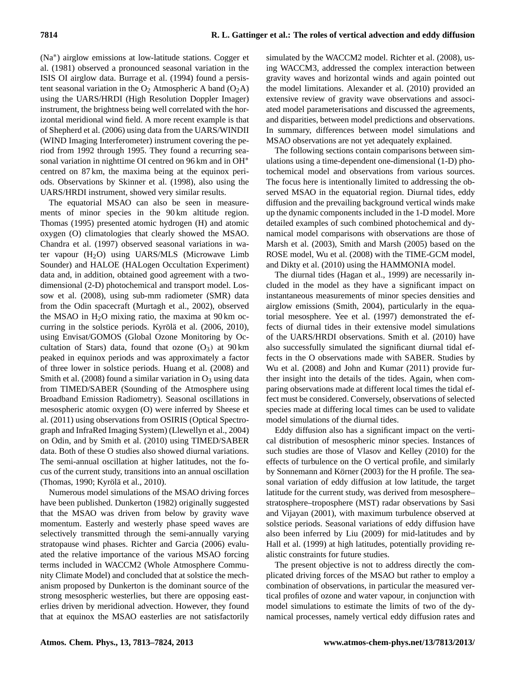(Na<sup>∗</sup> ) airglow emissions at low-latitude stations. Cogger et al. (1981) observed a pronounced seasonal variation in the ISIS OI airglow data. Burrage et al. (1994) found a persistent seasonal variation in the  $O_2$  Atmospheric A band  $(O_2 A)$ using the UARS/HRDI (High Resolution Doppler Imager) instrument, the brightness being well correlated with the horizontal meridional wind field. A more recent example is that of Shepherd et al. (2006) using data from the UARS/WINDII (WIND Imaging Interferometer) instrument covering the period from 1992 through 1995. They found a recurring seasonal variation in nighttime OI centred on 96 km and in OH<sup>\*</sup> centred on 87 km, the maxima being at the equinox periods. Observations by Skinner et al. (1998), also using the UARS/HRDI instrument, showed very similar results.

The equatorial MSAO can also be seen in measurements of minor species in the 90 km altitude region. Thomas (1995) presented atomic hydrogen (H) and atomic oxygen (O) climatologies that clearly showed the MSAO. Chandra et al. (1997) observed seasonal variations in water vapour  $(H<sub>2</sub>O)$  using UARS/MLS (Microwave Limb Sounder) and HALOE (HALogen Occultation Experiment) data and, in addition, obtained good agreement with a twodimensional (2-D) photochemical and transport model. Lossow et al. (2008), using sub-mm radiometer (SMR) data from the Odin spacecraft (Murtagh et al., 2002), observed the MSAO in  $H<sub>2</sub>O$  mixing ratio, the maxima at 90 km occurring in the solstice periods. Kyrölä et al. (2006, 2010), using Envisat/GOMOS (Global Ozone Monitoring by Occultation of Stars) data, found that ozone  $(O_3)$  at 90 km peaked in equinox periods and was approximately a factor of three lower in solstice periods. Huang et al. (2008) and Smith et al. (2008) found a similar variation in  $O_3$  using data from TIMED/SABER (Sounding of the Atmosphere using Broadband Emission Radiometry). Seasonal oscillations in mesospheric atomic oxygen (O) were inferred by Sheese et al. (2011) using observations from OSIRIS (Optical Spectrograph and InfraRed Imaging System) (Llewellyn et al., 2004) on Odin, and by Smith et al. (2010) using TIMED/SABER data. Both of these O studies also showed diurnal variations. The semi-annual oscillation at higher latitudes, not the focus of the current study, transitions into an annual oscillation (Thomas, 1990; Kyrölä et al., 2010).

Numerous model simulations of the MSAO driving forces have been published. Dunkerton (1982) originally suggested that the MSAO was driven from below by gravity wave momentum. Easterly and westerly phase speed waves are selectively transmitted through the semi-annually varying stratopause wind phases. Richter and Garcia (2006) evaluated the relative importance of the various MSAO forcing terms included in WACCM2 (Whole Atmosphere Community Climate Model) and concluded that at solstice the mechanism proposed by Dunkerton is the dominant source of the strong mesospheric westerlies, but there are opposing easterlies driven by meridional advection. However, they found that at equinox the MSAO easterlies are not satisfactorily simulated by the WACCM2 model. Richter et al. (2008), using WACCM3, addressed the complex interaction between gravity waves and horizontal winds and again pointed out the model limitations. Alexander et al. (2010) provided an extensive review of gravity wave observations and associated model parameterisations and discussed the agreements, and disparities, between model predictions and observations. In summary, differences between model simulations and MSAO observations are not yet adequately explained.

The following sections contain comparisons between simulations using a time-dependent one-dimensional (1-D) photochemical model and observations from various sources. The focus here is intentionally limited to addressing the observed MSAO in the equatorial region. Diurnal tides, eddy diffusion and the prevailing background vertical winds make up the dynamic components included in the 1-D model. More detailed examples of such combined photochemical and dynamical model comparisons with observations are those of Marsh et al. (2003), Smith and Marsh (2005) based on the ROSE model, Wu et al. (2008) with the TIME-GCM model, and Dikty et al. (2010) using the HAMMONIA model.

The diurnal tides (Hagan et al., 1999) are necessarily included in the model as they have a significant impact on instantaneous measurements of minor species densities and airglow emissions (Smith, 2004), particularly in the equatorial mesosphere. Yee et al. (1997) demonstrated the effects of diurnal tides in their extensive model simulations of the UARS/HRDI observations. Smith et al. (2010) have also successfully simulated the significant diurnal tidal effects in the O observations made with SABER. Studies by Wu et al. (2008) and John and Kumar (2011) provide further insight into the details of the tides. Again, when comparing observations made at different local times the tidal effect must be considered. Conversely, observations of selected species made at differing local times can be used to validate model simulations of the diurnal tides.

Eddy diffusion also has a significant impact on the vertical distribution of mesospheric minor species. Instances of such studies are those of Vlasov and Kelley (2010) for the effects of turbulence on the O vertical profile, and similarly by Sonnemann and Körner (2003) for the H profile. The seasonal variation of eddy diffusion at low latitude, the target latitude for the current study, was derived from mesosphere– stratosphere–troposphere (MST) radar observations by Sasi and Vijayan (2001), with maximum turbulence observed at solstice periods. Seasonal variations of eddy diffusion have also been inferred by Liu (2009) for mid-latitudes and by Hall et al. (1999) at high latitudes, potentially providing realistic constraints for future studies.

The present objective is not to address directly the complicated driving forces of the MSAO but rather to employ a combination of observations, in particular the measured vertical profiles of ozone and water vapour, in conjunction with model simulations to estimate the limits of two of the dynamical processes, namely vertical eddy diffusion rates and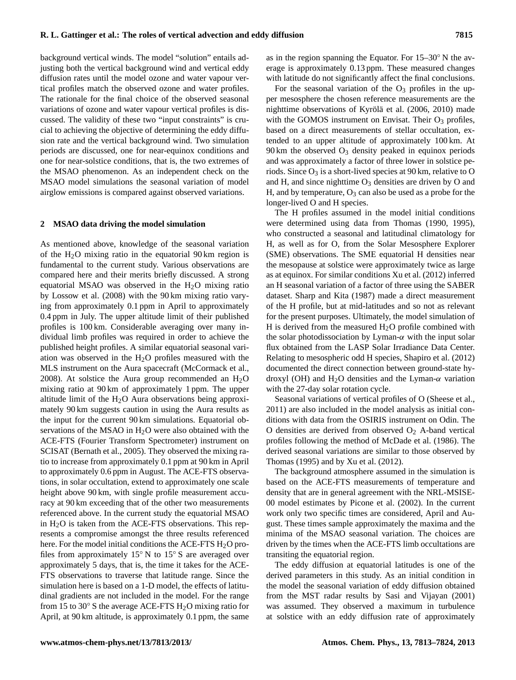background vertical winds. The model "solution" entails adjusting both the vertical background wind and vertical eddy diffusion rates until the model ozone and water vapour vertical profiles match the observed ozone and water profiles. The rationale for the final choice of the observed seasonal variations of ozone and water vapour vertical profiles is discussed. The validity of these two "input constraints" is crucial to achieving the objective of determining the eddy diffusion rate and the vertical background wind. Two simulation periods are discussed, one for near-equinox conditions and one for near-solstice conditions, that is, the two extremes of the MSAO phenomenon. As an independent check on the MSAO model simulations the seasonal variation of model airglow emissions is compared against observed variations.

#### **2 MSAO data driving the model simulation**

As mentioned above, knowledge of the seasonal variation of the  $H_2O$  mixing ratio in the equatorial 90 km region is fundamental to the current study. Various observations are compared here and their merits briefly discussed. A strong equatorial MSAO was observed in the  $H<sub>2</sub>O$  mixing ratio by Lossow et al. (2008) with the 90 km mixing ratio varying from approximately 0.1 ppm in April to approximately 0.4 ppm in July. The upper altitude limit of their published profiles is 100 km. Considerable averaging over many individual limb profiles was required in order to achieve the published height profiles. A similar equatorial seasonal variation was observed in the  $H<sub>2</sub>O$  profiles measured with the MLS instrument on the Aura spacecraft (McCormack et al., 2008). At solstice the Aura group recommended an  $H_2O$ mixing ratio at 90 km of approximately 1 ppm. The upper altitude limit of the  $H<sub>2</sub>O$  Aura observations being approximately 90 km suggests caution in using the Aura results as the input for the current 90 km simulations. Equatorial observations of the MSAO in  $H<sub>2</sub>O$  were also obtained with the ACE-FTS (Fourier Transform Spectrometer) instrument on SCISAT (Bernath et al., 2005). They observed the mixing ratio to increase from approximately 0.1 ppm at 90 km in April to approximately 0.6 ppm in August. The ACE-FTS observations, in solar occultation, extend to approximately one scale height above 90 km, with single profile measurement accuracy at 90 km exceeding that of the other two measurements referenced above. In the current study the equatorial MSAO in  $H<sub>2</sub>O$  is taken from the ACE-FTS observations. This represents a compromise amongst the three results referenced here. For the model initial conditions the ACE-FTS  $H<sub>2</sub>O$  profiles from approximately 15◦ N to 15◦ S are averaged over approximately 5 days, that is, the time it takes for the ACE-FTS observations to traverse that latitude range. Since the simulation here is based on a 1-D model, the effects of latitudinal gradients are not included in the model. For the range from 15 to 30 $\degree$  S the average ACE-FTS H<sub>2</sub>O mixing ratio for April, at 90 km altitude, is approximately 0.1 ppm, the same as in the region spanning the Equator. For 15–30◦ N the average is approximately 0.13 ppm. These measured changes with latitude do not significantly affect the final conclusions.

For the seasonal variation of the  $O_3$  profiles in the upper mesosphere the chosen reference measurements are the nighttime observations of Kyrölä et al. (2006, 2010) made with the GOMOS instrument on Envisat. Their  $O_3$  profiles, based on a direct measurements of stellar occultation, extended to an upper altitude of approximately 100 km. At  $90 \text{ km}$  the observed  $O_3$  density peaked in equinox periods and was approximately a factor of three lower in solstice periods. Since  $O_3$  is a short-lived species at 90 km, relative to O and H, and since nighttime  $O_3$  densities are driven by O and H, and by temperature,  $O_3$  can also be used as a probe for the longer-lived O and H species.

The H profiles assumed in the model initial conditions were determined using data from Thomas (1990, 1995), who constructed a seasonal and latitudinal climatology for H, as well as for O, from the Solar Mesosphere Explorer (SME) observations. The SME equatorial H densities near the mesopause at solstice were approximately twice as large as at equinox. For similar conditions Xu et al. (2012) inferred an H seasonal variation of a factor of three using the SABER dataset. Sharp and Kita (1987) made a direct measurement of the H profile, but at mid-latitudes and so not as relevant for the present purposes. Ultimately, the model simulation of H is derived from the measured H2O profile combined with the solar photodissociation by Lyman- $\alpha$  with the input solar flux obtained from the LASP Solar Irradiance Data Center. Relating to mesospheric odd H species, Shapiro et al. (2012) documented the direct connection between ground-state hydroxyl (OH) and  $H_2O$  densities and the Lyman- $\alpha$  variation with the 27-day solar rotation cycle.

Seasonal variations of vertical profiles of O (Sheese et al., 2011) are also included in the model analysis as initial conditions with data from the OSIRIS instrument on Odin. The O densities are derived from observed  $O_2$  A-band vertical profiles following the method of McDade et al. (1986). The derived seasonal variations are similar to those observed by Thomas (1995) and by Xu et al. (2012).

The background atmosphere assumed in the simulation is based on the ACE-FTS measurements of temperature and density that are in general agreement with the NRL-MSISE-00 model estimates by Picone et al. (2002). In the current work only two specific times are considered, April and August. These times sample approximately the maxima and the minima of the MSAO seasonal variation. The choices are driven by the times when the ACE-FTS limb occultations are transiting the equatorial region.

The eddy diffusion at equatorial latitudes is one of the derived parameters in this study. As an initial condition in the model the seasonal variation of eddy diffusion obtained from the MST radar results by Sasi and Vijayan (2001) was assumed. They observed a maximum in turbulence at solstice with an eddy diffusion rate of approximately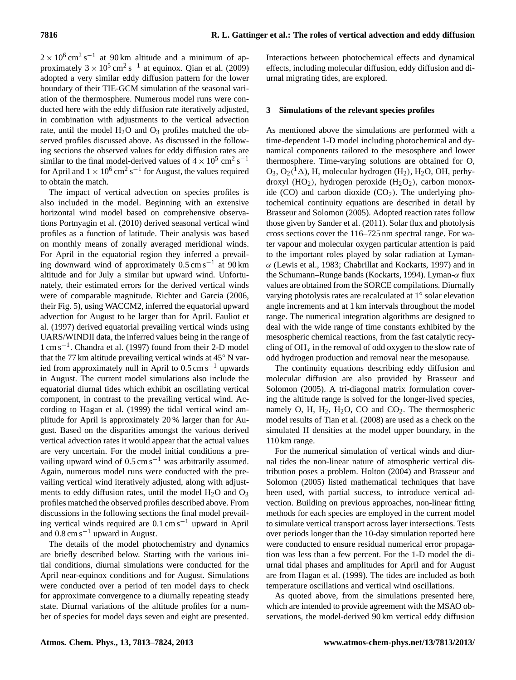$2 \times 10^6$  cm<sup>2</sup> s<sup>-1</sup> at 90 km altitude and a minimum of approximately  $3 \times 10^5$  cm<sup>2</sup> s<sup>-1</sup> at equinox. Qian et al. (2009) adopted a very similar eddy diffusion pattern for the lower boundary of their TIE-GCM simulation of the seasonal variation of the thermosphere. Numerous model runs were conducted here with the eddy diffusion rate iteratively adjusted, in combination with adjustments to the vertical advection rate, until the model  $H_2O$  and  $O_3$  profiles matched the observed profiles discussed above. As discussed in the following sections the observed values for eddy diffusion rates are similar to the final model-derived values of  $4 \times 10^5$  cm<sup>2</sup> s<sup>-1</sup> for April and  $1 \times 10^6$  cm<sup>2</sup> s<sup>-1</sup> for August, the values required to obtain the match.

The impact of vertical advection on species profiles is also included in the model. Beginning with an extensive horizontal wind model based on comprehensive observations Portnyagin et al. (2010) derived seasonal vertical wind profiles as a function of latitude. Their analysis was based on monthly means of zonally averaged meridional winds. For April in the equatorial region they inferred a prevailing downward wind of approximately 0.5 cm s−<sup>1</sup> at 90 km altitude and for July a similar but upward wind. Unfortunately, their estimated errors for the derived vertical winds were of comparable magnitude. Richter and Garcia (2006, their Fig. 5), using WACCM2, inferred the equatorial upward advection for August to be larger than for April. Fauliot et al. (1997) derived equatorial prevailing vertical winds using UARS/WINDII data, the inferred values being in the range of 1 cm s−<sup>1</sup> . Chandra et al. (1997) found from their 2-D model that the 77 km altitude prevailing vertical winds at  $45°$  N varied from approximately null in April to  $0.5 \text{ cm s}^{-1}$  upwards in August. The current model simulations also include the equatorial diurnal tides which exhibit an oscillating vertical component, in contrast to the prevailing vertical wind. According to Hagan et al. (1999) the tidal vertical wind amplitude for April is approximately 20 % larger than for August. Based on the disparities amongst the various derived vertical advection rates it would appear that the actual values are very uncertain. For the model initial conditions a prevailing upward wind of  $0.5 \text{ cm s}^{-1}$  was arbitrarily assumed. Again, numerous model runs were conducted with the prevailing vertical wind iteratively adjusted, along with adjustments to eddy diffusion rates, until the model  $H_2O$  and  $O_3$ profiles matched the observed profiles described above. From discussions in the following sections the final model prevailing vertical winds required are  $0.1 \text{ cm s}^{-1}$  upward in April and  $0.8 \text{ cm s}^{-1}$  upward in August.

The details of the model photochemistry and dynamics are briefly described below. Starting with the various initial conditions, diurnal simulations were conducted for the April near-equinox conditions and for August. Simulations were conducted over a period of ten model days to check for approximate convergence to a diurnally repeating steady state. Diurnal variations of the altitude profiles for a number of species for model days seven and eight are presented. Interactions between photochemical effects and dynamical effects, including molecular diffusion, eddy diffusion and diurnal migrating tides, are explored.

# **3 Simulations of the relevant species profiles**

As mentioned above the simulations are performed with a time-dependent 1-D model including photochemical and dynamical components tailored to the mesosphere and lower thermosphere. Time-varying solutions are obtained for O,  $O_3$ ,  $O_2(^1\Delta)$ , H, molecular hydrogen (H<sub>2</sub>), H<sub>2</sub>O, OH, perhydroxyl (HO<sub>2</sub>), hydrogen peroxide (H<sub>2</sub>O<sub>2</sub>), carbon monoxide (CO) and carbon dioxide (CO<sub>2</sub>). The underlying photochemical continuity equations are described in detail by Brasseur and Solomon (2005). Adopted reaction rates follow those given by Sander et al. (2011). Solar flux and photolysis cross sections cover the 116–725 nm spectral range. For water vapour and molecular oxygen particular attention is paid to the important roles played by solar radiation at Lyman- $\alpha$  (Lewis et al., 1983; Chabrillat and Kockarts, 1997) and in the Schumann–Runge bands (Kockarts, 1994). Lyman-α flux values are obtained from the SORCE compilations. Diurnally varying photolysis rates are recalculated at 1° solar elevation angle increments and at 1 km intervals throughout the model range. The numerical integration algorithms are designed to deal with the wide range of time constants exhibited by the mesospheric chemical reactions, from the fast catalytic recycling of  $OH<sub>x</sub>$  in the removal of odd oxygen to the slow rate of odd hydrogen production and removal near the mesopause.

The continuity equations describing eddy diffusion and molecular diffusion are also provided by Brasseur and Solomon (2005). A tri-diagonal matrix formulation covering the altitude range is solved for the longer-lived species, namely O, H,  $H_2$ ,  $H_2O$ , CO and CO<sub>2</sub>. The thermospheric model results of Tian et al. (2008) are used as a check on the simulated H densities at the model upper boundary, in the 110 km range.

For the numerical simulation of vertical winds and diurnal tides the non-linear nature of atmospheric vertical distribution poses a problem. Holton (2004) and Brasseur and Solomon (2005) listed mathematical techniques that have been used, with partial success, to introduce vertical advection. Building on previous approaches, non-linear fitting methods for each species are employed in the current model to simulate vertical transport across layer intersections. Tests over periods longer than the 10-day simulation reported here were conducted to ensure residual numerical error propagation was less than a few percent. For the 1-D model the diurnal tidal phases and amplitudes for April and for August are from Hagan et al. (1999). The tides are included as both temperature oscillations and vertical wind oscillations.

As quoted above, from the simulations presented here, which are intended to provide agreement with the MSAO observations, the model-derived 90 km vertical eddy diffusion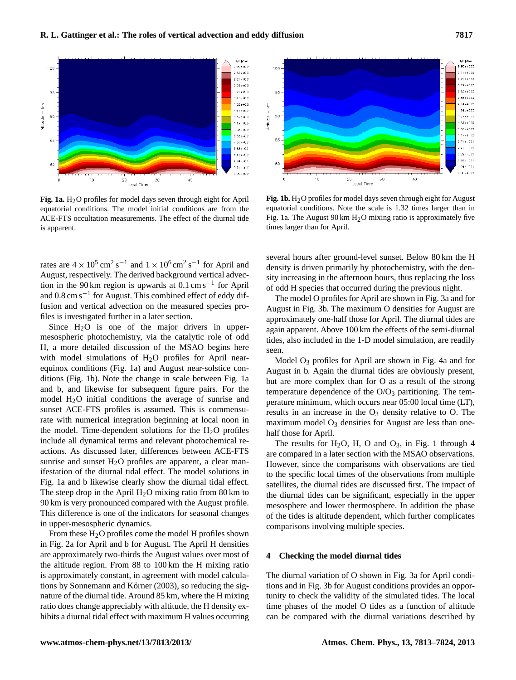

Fig. 1a. H<sub>2</sub>O profiles for model days seven through eight for April equatorial conditions. The model initial conditions are from the ACE-FTS occultation measurements. The effect of the diurnal tide is apparent.

rates are  $4 \times 10^5$  cm<sup>2</sup> s<sup>-1</sup> and  $1 \times 10^6$  cm<sup>2</sup> s<sup>-1</sup> for April and August, respectively. The derived background vertical advection in the 90 km region is upwards at  $0.1 \text{ cm s}^{-1}$  for April and 0.8 cm s−<sup>1</sup> for August. This combined effect of eddy diffusion and vertical advection on the measured species profiles is investigated further in a later section.

Since H<sub>2</sub>O is one of the major drivers in uppermesospheric photochemistry, via the catalytic role of odd H, a more detailed discussion of the MSAO begins here with model simulations of  $H<sub>2</sub>O$  profiles for April nearequinox conditions (Fig. 1a) and August near-solstice conditions (Fig. 1b). Note the change in scale between Fig. 1a and b, and likewise for subsequent figure pairs. For the model H2O initial conditions the average of sunrise and sunset ACE-FTS profiles is assumed. This is commensurate with numerical integration beginning at local noon in the model. Time-dependent solutions for the  $H<sub>2</sub>O$  profiles include all dynamical terms and relevant photochemical reactions. As discussed later, differences between ACE-FTS sunrise and sunset  $H_2O$  profiles are apparent, a clear manifestation of the diurnal tidal effect. The model solutions in Fig. 1a and b likewise clearly show the diurnal tidal effect. The steep drop in the April  $H<sub>2</sub>O$  mixing ratio from 80 km to 90 km is very pronounced compared with the August profile. This difference is one of the indicators for seasonal changes in upper-mesospheric dynamics.

From these  $H_2O$  profiles come the model H profiles shown in Fig. 2a for April and b for August. The April H densities are approximately two-thirds the August values over most of the altitude region. From 88 to 100 km the H mixing ratio is approximately constant, in agreement with model calculations by Sonnemann and Körner (2003), so reducing the signature of the diurnal tide. Around 85 km, where the H mixing ratio does change appreciably with altitude, the H density exhibits a diurnal tidal effect with maximum H values occurring



Fig. 1b. H<sub>2</sub>O profiles for model days seven through eight for August equatorial conditions. Note the scale is 1.32 times larger than in Fig. 1a. The August  $90 \text{ km H}_2O$  mixing ratio is approximately five times larger than for April.

several hours after ground-level sunset. Below 80 km the H density is driven primarily by photochemistry, with the density increasing in the afternoon hours, thus replacing the loss of odd H species that occurred during the previous night.

The model O profiles for April are shown in Fig. 3a and for August in Fig. 3b. The maximum O densities for August are approximately one-half those for April. The diurnal tides are again apparent. Above 100 km the effects of the semi-diurnal tides, also included in the 1-D model simulation, are readily seen.

Model  $O_3$  profiles for April are shown in Fig. 4a and for August in b. Again the diurnal tides are obviously present, but are more complex than for O as a result of the strong temperature dependence of the  $O/O<sub>3</sub>$  partitioning. The temperature minimum, which occurs near 05:00 local time (LT), results in an increase in the  $O_3$  density relative to O. The maximum model  $O_3$  densities for August are less than onehalf those for April.

The results for  $H_2O$ , H, O and  $O_3$ , in Fig. 1 through 4 are compared in a later section with the MSAO observations. However, since the comparisons with observations are tied to the specific local times of the observations from multiple satellites, the diurnal tides are discussed first. The impact of the diurnal tides can be significant, especially in the upper mesosphere and lower thermosphere. In addition the phase of the tides is altitude dependent, which further complicates comparisons involving multiple species.

# **4 Checking the model diurnal tides**

The diurnal variation of O shown in Fig. 3a for April conditions and in Fig. 3b for August conditions provides an opportunity to check the validity of the simulated tides. The local time phases of the model O tides as a function of altitude can be compared with the diurnal variations described by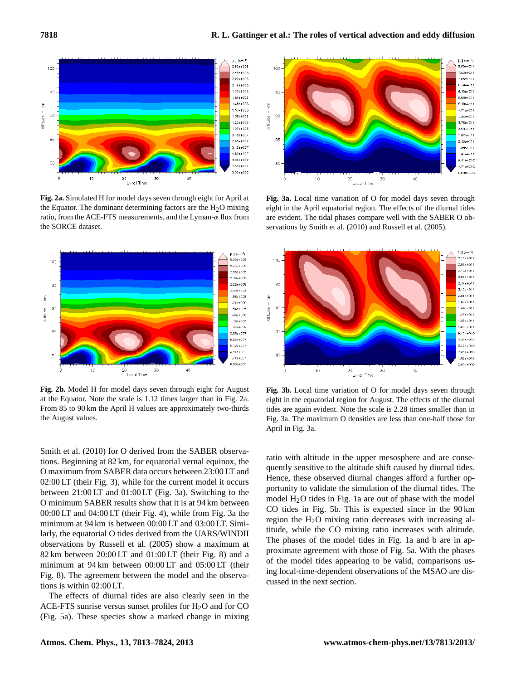

**Fig. 2a.** Simulated H for model days seven through eight for April at the Equator. The dominant determining factors are the  $H<sub>2</sub>O$  mixing ratio, from the ACE-FTS measurements, and the Lyman- $\alpha$  flux from the SORCE dataset.



**Fig. 2b.** Model H for model days seven through eight for August at the Equator. Note the scale is 1.12 times larger than in Fig. 2a. From 85 to 90 km the April H values are approximately two-thirds the August values.

Smith et al. (2010) for O derived from the SABER observations. Beginning at 82 km, for equatorial vernal equinox, the O maximum from SABER data occurs between 23:00 LT and 02:00 LT (their Fig. 3), while for the current model it occurs between 21:00 LT and 01:00 LT (Fig. 3a). Switching to the O minimum SABER results show that it is at 94 km between 00:00 LT and 04:00 LT (their Fig. 4), while from Fig. 3a the minimum at 94 km is between 00:00 LT and 03:00 LT. Similarly, the equatorial O tides derived from the UARS/WINDII observations by Russell et al. (2005) show a maximum at 82 km between 20:00 LT and 01:00 LT (their Fig. 8) and a minimum at 94 km between 00:00 LT and 05:00 LT (their Fig. 8). The agreement between the model and the observations is within 02:00 LT.

The effects of diurnal tides are also clearly seen in the ACE-FTS sunrise versus sunset profiles for  $H_2O$  and for CO (Fig. 5a). These species show a marked change in mixing



**Fig. 3a.** Local time variation of O for model days seven through eight in the April equatorial region. The effects of the diurnal tides are evident. The tidal phases compare well with the SABER O observations by Smith et al. (2010) and Russell et al. (2005).



**Fig. 3b.** Local time variation of O for model days seven through eight in the equatorial region for August. The effects of the diurnal tides are again evident. Note the scale is 2.28 times smaller than in Fig. 3a. The maximum O densities are less than one-half those for April in Fig. 3a.

ratio with altitude in the upper mesosphere and are consequently sensitive to the altitude shift caused by diurnal tides. Hence, these observed diurnal changes afford a further opportunity to validate the simulation of the diurnal tides. The model  $H_2O$  tides in Fig. 1a are out of phase with the model CO tides in Fig. 5b. This is expected since in the 90 km region the  $H_2O$  mixing ratio decreases with increasing altitude, while the CO mixing ratio increases with altitude. The phases of the model tides in Fig. 1a and b are in approximate agreement with those of Fig. 5a. With the phases of the model tides appearing to be valid, comparisons using local-time-dependent observations of the MSAO are discussed in the next section.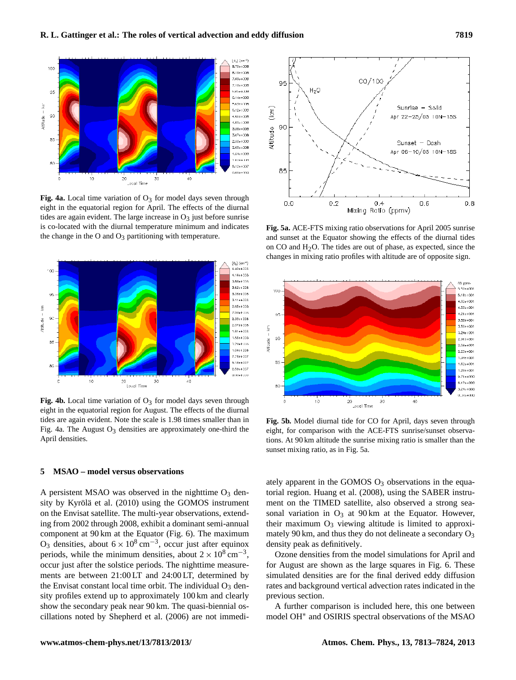

**Fig. 4a.** Local time variation of  $O_3$  for model days seven through eight in the equatorial region for April. The effects of the diurnal tides are again evident. The large increase in  $O<sub>3</sub>$  just before sunrise is co-located with the diurnal temperature minimum and indicates the change in the O and  $O_3$  partitioning with temperature.



**Fig. 4b.** Local time variation of  $O_3$  for model days seven through eight in the equatorial region for August. The effects of the diurnal tides are again evident. Note the scale is 1.98 times smaller than in Fig. 4a. The August  $O_3$  densities are approximately one-third the April densities.

## **5 MSAO – model versus observations**

A persistent MSAO was observed in the nighttime  $O<sub>3</sub>$  density by Kyrölä et al. (2010) using the GOMOS instrument on the Envisat satellite. The multi-year observations, extending from 2002 through 2008, exhibit a dominant semi-annual component at 90 km at the Equator (Fig. 6). The maximum O<sub>3</sub> densities, about  $6 \times 10^8$  cm<sup>-3</sup>, occur just after equinox periods, while the minimum densities, about  $2 \times 10^8 \text{ cm}^{-3}$ , occur just after the solstice periods. The nighttime measurements are between 21:00 LT and 24:00 LT, determined by the Envisat constant local time orbit. The individual  $O_3$  density profiles extend up to approximately 100 km and clearly show the secondary peak near 90 km. The quasi-biennial oscillations noted by Shepherd et al. (2006) are not immedi-



**Fig. 5a.** ACE-FTS mixing ratio observations for April 2005 sunrise and sunset at the Equator showing the effects of the diurnal tides on CO and  $H_2O$ . The tides are out of phase, as expected, since the changes in mixing ratio profiles with altitude are of opposite sign.



**Fig. 5b.** Model diurnal tide for CO for April, days seven through eight, for comparison with the ACE-FTS sunrise/sunset observations. At 90 km altitude the sunrise mixing ratio is smaller than the sunset mixing ratio, as in Fig. 5a.

ately apparent in the GOMOS  $O_3$  observations in the equatorial region. Huang et al. (2008), using the SABER instrument on the TIMED satellite, also observed a strong seasonal variation in  $O_3$  at 90 km at the Equator. However, their maximum  $O_3$  viewing altitude is limited to approximately 90 km, and thus they do not delineate a secondary  $O_3$ density peak as definitively.

Ozone densities from the model simulations for April and for August are shown as the large squares in Fig. 6. These simulated densities are for the final derived eddy diffusion rates and background vertical advection rates indicated in the previous section.

A further comparison is included here, this one between model OH<sup>∗</sup> and OSIRIS spectral observations of the MSAO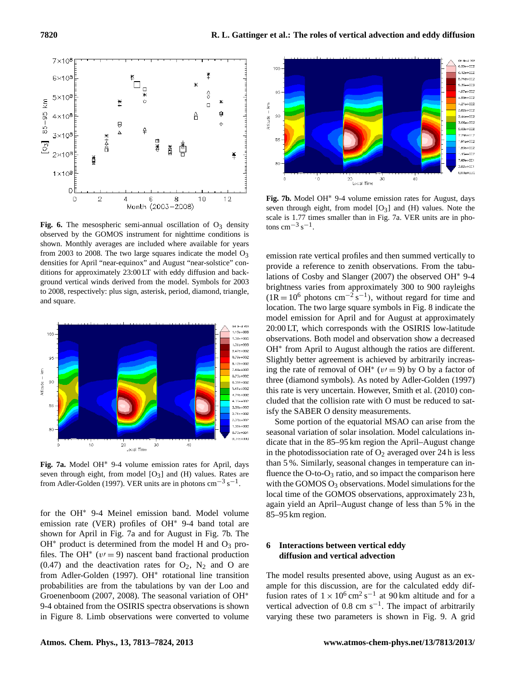

**Fig. 6.** The mesospheric semi-annual oscillation of  $O_3$  density observed by the GOMOS instrument for nighttime conditions is shown. Monthly averages are included where available for years from 2003 to 2008. The two large squares indicate the model  $O_3$ densities for April "near-equinox" and August "near-solstice" conditions for approximately 23:00 LT with eddy diffusion and background vertical winds derived from the model. Symbols for 2003 to 2008, respectively: plus sign, asterisk, period, diamond, triangle, and square.



**Fig. 7a.** Model OH<sup>∗</sup> 9-4 volume emission rates for April, days seven through eight, from model  $[O_3]$  and  $(H)$  values. Rates are from Adler-Golden (1997). VER units are in photons cm<sup>-3</sup> s<sup>-1</sup>.

for the OH<sup>∗</sup> 9-4 Meinel emission band. Model volume emission rate (VER) profiles of OH<sup>∗</sup> 9-4 band total are shown for April in Fig. 7a and for August in Fig. 7b. The  $OH^*$  product is determined from the model H and  $O_3$  profiles. The OH<sup>\*</sup> ( $v$ / = 9) nascent band fractional production  $(0.47)$  and the deactivation rates for  $O_2$ ,  $N_2$  and O are from Adler-Golden (1997). OH<sup>∗</sup> rotational line transition probabilities are from the tabulations by van der Loo and Groenenboom (2007, 2008). The seasonal variation of OH<sup>\*</sup> 9-4 obtained from the OSIRIS spectra observations is shown in Figure 8. Limb observations were converted to volume



**Fig. 7b.** Model OH<sup>∗</sup> 9-4 volume emission rates for August, days seven through eight, from model  $[O_3]$  and  $(H)$  values. Note the scale is 1.77 times smaller than in Fig. 7a. VER units are in pho- $\text{tons cm}^{-3} \text{ s}^{-1}.$ 

emission rate vertical profiles and then summed vertically to provide a reference to zenith observations. From the tabulations of Cosby and Slanger (2007) the observed OH<sup>∗</sup> 9-4 brightness varies from approximately 300 to 900 rayleighs  $(1R = 10^6 \text{ photons cm}^{-2} \text{ s}^{-1})$ , without regard for time and location. The two large square symbols in Fig. 8 indicate the model emission for April and for August at approximately 20:00 LT, which corresponds with the OSIRIS low-latitude observations. Both model and observation show a decreased OH<sup>∗</sup> from April to August although the ratios are different. Slightly better agreement is achieved by arbitrarily increasing the rate of removal of OH<sup>\*</sup> ( $v$ / = 9) by O by a factor of three (diamond symbols). As noted by Adler-Golden (1997) this rate is very uncertain. However, Smith et al. (2010) concluded that the collision rate with O must be reduced to satisfy the SABER O density measurements.

Some portion of the equatorial MSAO can arise from the seasonal variation of solar insolation. Model calculations indicate that in the 85–95 km region the April–August change in the photodissociation rate of  $O_2$  averaged over 24 h is less than 5 %. Similarly, seasonal changes in temperature can influence the  $O$ -to- $O_3$  ratio, and so impact the comparison here with the GOMOS  $O_3$  observations. Model simulations for the local time of the GOMOS observations, approximately 23 h, again yield an April–August change of less than 5 % in the 85–95 km region.

# **6 Interactions between vertical eddy diffusion and vertical advection**

The model results presented above, using August as an example for this discussion, are for the calculated eddy diffusion rates of  $1 \times 10^6$  cm<sup>2</sup> s<sup>-1</sup> at 90 km altitude and for a vertical advection of 0.8 cm  $s^{-1}$ . The impact of arbitrarily varying these two parameters is shown in Fig. 9. A grid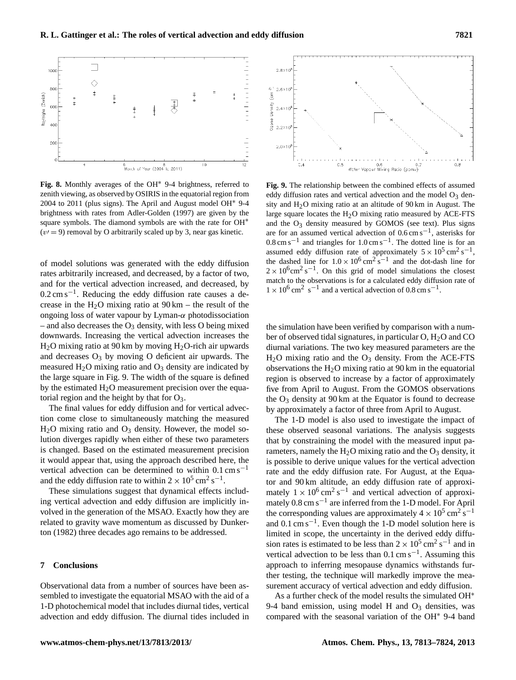

**Fig. 8.** Monthly averages of the OH<sup>∗</sup> 9-4 brightness, referred to zenith viewing, as observed by OSIRIS in the equatorial region from 2004 to 2011 (plus signs). The April and August model OH<sup>∗</sup> 9-4 brightness with rates from Adler-Golden (1997) are given by the square symbols. The diamond symbols are with the rate for OH<sup>\*</sup>  $(v = 9)$  removal by O arbitrarily scaled up by 3, near gas kinetic.

of model solutions was generated with the eddy diffusion rates arbitrarily increased, and decreased, by a factor of two, and for the vertical advection increased, and decreased, by 0.2 cm s<sup>-1</sup>. Reducing the eddy diffusion rate causes a decrease in the H<sub>2</sub>O mixing ratio at  $90 \text{ km}$  – the result of the ongoing loss of water vapour by Lyman-α photodissociation – and also decreases the  $O_3$  density, with less O being mixed downwards. Increasing the vertical advection increases the  $H<sub>2</sub>O$  mixing ratio at 90 km by moving  $H<sub>2</sub>O$ -rich air upwards and decreases  $O_3$  by moving O deficient air upwards. The measured  $H_2O$  mixing ratio and  $O_3$  density are indicated by the large square in Fig. 9. The width of the square is defined by the estimated  $H_2O$  measurement precision over the equatorial region and the height by that for  $O_3$ .

The final values for eddy diffusion and for vertical advection come close to simultaneously matching the measured  $H<sub>2</sub>O$  mixing ratio and  $O<sub>3</sub>$  density. However, the model solution diverges rapidly when either of these two parameters is changed. Based on the estimated measurement precision it would appear that, using the approach described here, the vertical advection can be determined to within  $0.1 \text{ cm s}^{-1}$ and the eddy diffusion rate to within  $2 \times 10^5$  cm<sup>2</sup> s<sup>-1</sup>.

These simulations suggest that dynamical effects including vertical advection and eddy diffusion are implicitly involved in the generation of the MSAO. Exactly how they are related to gravity wave momentum as discussed by Dunkerton (1982) three decades ago remains to be addressed.

## **7 Conclusions**

Observational data from a number of sources have been assembled to investigate the equatorial MSAO with the aid of a 1-D photochemical model that includes diurnal tides, vertical advection and eddy diffusion. The diurnal tides included in



**Fig. 9.** The relationship between the combined effects of assumed eddy diffusion rates and vertical advection and the model  $O_3$  density and H2O mixing ratio at an altitude of 90 km in August. The large square locates the  $H<sub>2</sub>O$  mixing ratio measured by ACE-FTS and the  $O_3$  density measured by GOMOS (see text). Plus signs are for an assumed vertical advection of 0.6 cm s−<sup>1</sup> , asterisks for  $0.8 \text{ cm s}^{-1}$  and triangles for 1.0 cm s<sup>-1</sup>. The dotted line is for an assumed eddy diffusion rate of approximately  $5 \times 10^5$  cm<sup>2</sup> s<sup>-1</sup>, the dashed line for  $1.0 \times 10^6$  cm<sup>2</sup> s<sup>-1</sup> and the dot-dash line for  $2 \times 10^{6}$  cm<sup>2</sup> s<sup>-1</sup>. On this grid of model simulations the closest match to the observations is for a calculated eddy diffusion rate of  $1 \times 10^6$  cm<sup>2</sup> s<sup>-1</sup> and a vertical advection of 0.8 cm s<sup>-1</sup>.

the simulation have been verified by comparison with a number of observed tidal signatures, in particular  $O, H_2O$  and  $CO$ diurnal variations. The two key measured parameters are the  $H<sub>2</sub>O$  mixing ratio and the  $O<sub>3</sub>$  density. From the ACE-FTS observations the  $H_2O$  mixing ratio at 90 km in the equatorial region is observed to increase by a factor of approximately five from April to August. From the GOMOS observations the  $O_3$  density at 90 km at the Equator is found to decrease by approximately a factor of three from April to August.

The 1-D model is also used to investigate the impact of these observed seasonal variations. The analysis suggests that by constraining the model with the measured input parameters, namely the  $H_2O$  mixing ratio and the  $O_3$  density, it is possible to derive unique values for the vertical advection rate and the eddy diffusion rate. For August, at the Equator and 90 km altitude, an eddy diffusion rate of approximately  $1 \times 10^6$  cm<sup>2</sup> s<sup>-1</sup> and vertical advection of approximately 0.8 cm s<sup>-1</sup> are inferred from the 1-D model. For April the corresponding values are approximately  $4 \times 10^5$  cm<sup>2</sup> s<sup>-1</sup> and 0.1 cm s−<sup>1</sup> . Even though the 1-D model solution here is limited in scope, the uncertainty in the derived eddy diffusion rates is estimated to be less than  $2 \times 10^5$  cm<sup>2</sup> s<sup>-1</sup> and in vertical advection to be less than  $0.1 \text{ cm s}^{-1}$ . Assuming this approach to inferring mesopause dynamics withstands further testing, the technique will markedly improve the measurement accuracy of vertical advection and eddy diffusion.

As a further check of the model results the simulated OH<sup>∗</sup> 9-4 band emission, using model H and  $O_3$  densities, was compared with the seasonal variation of the OH<sup>∗</sup> 9-4 band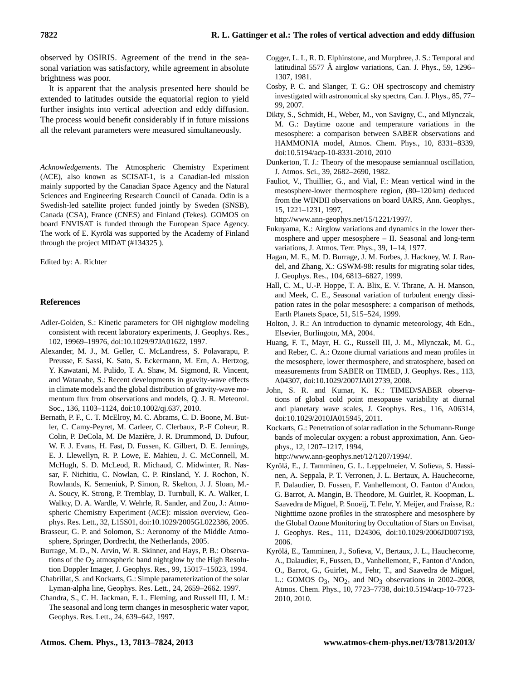observed by OSIRIS. Agreement of the trend in the seasonal variation was satisfactory, while agreement in absolute brightness was poor.

It is apparent that the analysis presented here should be extended to latitudes outside the equatorial region to yield further insights into vertical advection and eddy diffusion. The process would benefit considerably if in future missions all the relevant parameters were measured simultaneously.

*Acknowledgements.* The Atmospheric Chemistry Experiment (ACE), also known as SCISAT-1, is a Canadian-led mission mainly supported by the Canadian Space Agency and the Natural Sciences and Engineering Research Council of Canada. Odin is a Swedish-led satellite project funded jointly by Sweden (SNSB), Canada (CSA), France (CNES) and Finland (Tekes). GOMOS on board ENVISAT is funded through the European Space Agency. The work of E. Kyrölä was supported by the Academy of Finland through the project MIDAT (#134325 ).

### Edited by: A. Richter

### **References**

- Adler-Golden, S.: Kinetic parameters for OH nightglow modeling consistent with recent laboratory experiments, J. Geophys. Res., 102, 19969–19976, doi[:10.1029/97JA01622,](http://dx.doi.org/10.1029/97JA01622) 1997.
- Alexander, M. J., M. Geller, C. McLandress, S. Polavarapu, P. Preusse, F. Sassi, K. Sato, S. Eckermann, M. Ern, A. Hertzog, Y. Kawatani, M. Pulido, T. A. Shaw, M. Sigmond, R. Vincent, and Watanabe, S.: Recent developments in gravity-wave effects in climate models and the global distribution of gravity-wave momentum flux from observations and models, Q. J. R. Meteorol. Soc., 136, 1103–1124, doi[:10.1002/qj.637,](http://dx.doi.org/10.1002/qj.637) 2010.
- Bernath, P. F., C. T. McElroy, M. C. Abrams, C. D. Boone, M. Butler, C. Camy-Peyret, M. Carleer, C. Clerbaux, P.-F Coheur, R. Colin, P. DeCola, M. De Maziere, J. R. Drummond, D. Dufour, ` W. F. J. Evans, H. Fast, D. Fussen, K. Gilbert, D. E. Jennings, E. J. Llewellyn, R. P. Lowe, E. Mahieu, J. C. McConnell, M. McHugh, S. D. McLeod, R. Michaud, C. Midwinter, R. Nassar, F. Nichitiu, C. Nowlan, C. P. Rinsland, Y. J. Rochon, N. Rowlands, K. Semeniuk, P. Simon, R. Skelton, J. J. Sloan, M.- A. Soucy, K. Strong, P. Tremblay, D. Turnbull, K. A. Walker, I. Walkty, D. A. Wardle, V. Wehrle, R. Sander, and Zou, J.: Atmospheric Chemistry Experiment (ACE): mission overview, Geophys. Res. Lett., 32, L15S01, doi[:10.1029/2005GL022386,](http://dx.doi.org/10.1029/2005GL022386) 2005.
- Brasseur, G. P. and Solomon, S.: Aeronomy of the Middle Atmosphere, Springer, Dordrecht, the Netherlands, 2005.
- Burrage, M. D., N. Arvin, W. R. Skinner, and Hays, P. B.: Observations of the  $O_2$  atmospheric band nightglow by the High Resolution Doppler Imager, J. Geophys. Res., 99, 15017–15023, 1994.
- Chabrillat, S. and Kockarts, G.: Simple parameterization of the solar Lyman-alpha line, Geophys. Res. Lett., 24, 2659–2662. 1997.
- Chandra, S., C. H. Jackman, E. L. Fleming, and Russell III, J. M.: The seasonal and long term changes in mesospheric water vapor, Geophys. Res. Lett., 24, 639–642, 1997.
- Cogger, L. L, R. D. Elphinstone, and Murphree, J. S.: Temporal and latitudinal 5577 Å airglow variations, Can. J. Phys., 59, 1296– 1307, 1981.
- Cosby, P. C. and Slanger, T. G.: OH spectroscopy and chemistry investigated with astronomical sky spectra, Can. J. Phys., 85, 77– 99, 2007.
- Dikty, S., Schmidt, H., Weber, M., von Savigny, C., and Mlynczak, M. G.: Daytime ozone and temperature variations in the mesosphere: a comparison between SABER observations and HAMMONIA model, Atmos. Chem. Phys., 10, 8331–8339, doi[:10.5194/acp-10-8331-2010,](http://dx.doi.org/10.5194/acp-10-8331-2010) 2010
- Dunkerton, T. J.: Theory of the mesopause semiannual oscillation, J. Atmos. Sci., 39, 2682–2690, 1982.
- Fauliot, V., Thuillier, G., and Vial, F.: Mean vertical wind in the mesosphere-lower thermosphere region, (80–120 km) deduced from the WINDII observations on board UARS, Ann. Geophys., 15, 1221–1231, 1997,

[http://www.ann-geophys.net/15/1221/1997/.](http://www.ann-geophys.net/15/1221/1997/)

- Fukuyama, K.: Airglow variations and dynamics in the lower thermosphere and upper mesosphere – II. Seasonal and long-term variations, J. Atmos. Terr. Phys., 39, 1–14, 1977.
- Hagan, M. E., M. D. Burrage, J. M. Forbes, J. Hackney, W. J. Randel, and Zhang, X.: GSWM-98: results for migrating solar tides, J. Geophys. Res., 104, 6813–6827, 1999.
- Hall, C. M., U.-P. Hoppe, T. A. Blix, E. V. Thrane, A. H. Manson, and Meek, C. E., Seasonal variation of turbulent energy dissipation rates in the polar mesosphere: a comparison of methods, Earth Planets Space, 51, 515–524, 1999.
- Holton, J. R.: An introduction to dynamic meteorology, 4th Edn., Elsevier, Burlingotn, MA, 2004.
- Huang, F. T., Mayr, H. G., Russell III, J. M., Mlynczak, M. G., and Reber, C. A.: Ozone diurnal variations and mean profiles in the mesosphere, lower thermosphere, and stratosphere, based on measurements from SABER on TIMED, J. Geophys. Res., 113, A04307, doi[:10.1029/2007JA012739,](http://dx.doi.org/10.1029/2007JA012739) 2008.
- John, S. R. and Kumar, K. K.: TIMED/SABER observations of global cold point mesopause variability at diurnal and planetary wave scales, J. Geophys. Res., 116, A06314, doi[:10.1029/2010JA015945,](http://dx.doi.org/10.1029/2010JA015945) 2011.
- Kockarts, G.: Penetration of solar radiation in the Schumann-Runge bands of molecular oxygen: a robust approximation, Ann. Geophys., 12, 1207–1217, 1994,

[http://www.ann-geophys.net/12/1207/1994/.](http://www.ann-geophys.net/12/1207/1994/)

- Kyrölä, E., J. Tamminen, G. L. Leppelmeier, V. Sofieva, S. Hassinen, A. Seppala, P. T. Verronen, J. L. Bertaux, A. Hauchecorne, F. Dalaudier, D. Fussen, F. Vanhellemont, O. Fanton d'Andon, G. Barrot, A. Mangin, B. Theodore, M. Guirlet, R. Koopman, L. Saavedra de Miguel, P. Snoeij, T. Fehr, Y. Meijer, and Fraisse, R.: Nighttime ozone profiles in the stratosphere and mesosphere by the Global Ozone Monitoring by Occultation of Stars on Envisat, J. Geophys. Res., 111, D24306, doi[:10.1029/2006JD007193,](http://dx.doi.org/10.1029/2006JD007193) 2006.
- Kyrölä, E., Tamminen, J., Sofieva, V., Bertaux, J. L., Hauchecorne, A., Dalaudier, F., Fussen, D., Vanhellemont, F., Fanton d'Andon, O., Barrot, G., Guirlet, M., Fehr, T., and Saavedra de Miguel, L.: GOMOS  $O_3$ , NO<sub>2</sub>, and NO<sub>3</sub> observations in 2002–2008, Atmos. Chem. Phys., 10, 7723–7738, doi[:10.5194/acp-10-7723-](http://dx.doi.org/10.5194/acp-10-7723-2010) [2010,](http://dx.doi.org/10.5194/acp-10-7723-2010) 2010.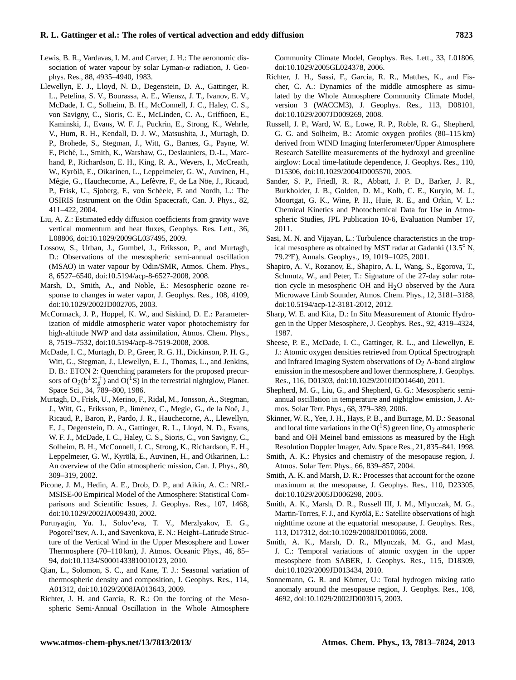## **R. L. Gattinger et al.: The roles of vertical advection and eddy diffusion 7823**

- Lewis, B. R., Vardavas, I. M. and Carver, J. H.: The aeronomic dissociation of water vapour by solar Lyman-α radiation, J. Geophys. Res., 88, 4935–4940, 1983.
- Llewellyn, E. J., Lloyd, N. D., Degenstein, D. A., Gattinger, R. L., Petelina, S. V., Bourassa, A. E., Wiensz, J. T., Ivanov, E. V., McDade, I. C., Solheim, B. H., McConnell, J. C., Haley, C. S., von Savigny, C., Sioris, C. E., McLinden, C. A., Griffioen, E., Kaminski, J., Evans, W. F. J., Puckrin, E., Strong, K., Wehrle, V., Hum, R. H., Kendall, D. J. W., Matsushita, J., Murtagh, D. P., Brohede, S., Stegman, J., Witt, G., Barnes, G., Payne, W. F., Piche, L., Smith, K., Warshaw, G., Deslauniers, D.-L., Marc- ´ hand, P., Richardson, E. H., King, R. A., Wevers, I., McCreath, W., Kyrölä, E., Oikarinen, L., Leppelmeier, G. W., Auvinen, H., Mégie, G., Hauchecorne, A., Lefèvre, F., de La Nöe, J., Ricaud, P., Frisk, U., Sjoberg, F., von Schéele, F. and Nordh, L.: The OSIRIS Instrument on the Odin Spacecraft, Can. J. Phys., 82, 411–422, 2004.
- Liu, A. Z.: Estimated eddy diffusion coefficients from gravity wave vertical momentum and heat fluxes, Geophys. Res. Lett., 36, L08806, doi[:10.1029/2009GL037495,](http://dx.doi.org/10.1029/2009GL037495) 2009.
- Lossow, S., Urban, J., Gumbel, J., Eriksson, P., and Murtagh, D.: Observations of the mesospheric semi-annual oscillation (MSAO) in water vapour by Odin/SMR, Atmos. Chem. Phys., 8, 6527–6540, doi[:10.5194/acp-8-6527-2008,](http://dx.doi.org/10.5194/acp-8-6527-2008) 2008.
- Marsh, D., Smith, A., and Noble, E.: Mesospheric ozone response to changes in water vapor, J. Geophys. Res., 108, 4109, doi[:10.1029/2002JD002705,](http://dx.doi.org/10.1029/2002JD002705) 2003.
- McCormack, J. P., Hoppel, K. W., and Siskind, D. E.: Parameterization of middle atmospheric water vapor photochemistry for high-altitude NWP and data assimilation, Atmos. Chem. Phys., 8, 7519–7532, doi[:10.5194/acp-8-7519-2008,](http://dx.doi.org/10.5194/acp-8-7519-2008) 2008.
- McDade, I. C., Murtagh, D. P., Greer, R. G. H., Dickinson, P. H. G., Witt, G., Stegman, J., Llewellyn, E. J., Thomas, L., and Jenkins, D. B.: ETON 2: Quenching parameters for the proposed precursors of O<sub>2</sub>(b<sup>1</sup> $\Sigma_g^+$ ) and O(<sup>1</sup>S) in the terrestrial nightglow, Planet. Space Sci., 34, 789–800, 1986.
- Murtagh, D., Frisk, U., Merino, F., Ridal, M., Jonsson, A., Stegman, J., Witt, G., Eriksson, P., Jiménez, C., Megie, G., de la Noë, J., Ricaud, P., Baron, P., Pardo, J. R., Hauchecorne, A., Llewellyn, E. J., Degenstein, D. A., Gattinger, R. L., Lloyd, N. D., Evans, W. F. J., McDade, I. C., Haley, C. S., Sioris, C., von Savigny, C., Solheim, B. H., McConnell, J. C., Strong, K., Richardson, E. H., Leppelmeier, G. W., Kyrölä, E., Auvinen, H., and Oikarinen, L.: An overview of the Odin atmospheric mission, Can. J. Phys., 80, 309–319, 2002.
- Picone, J. M., Hedin, A. E., Drob, D. P., and Aikin, A. C.: NRL-MSISE-00 Empirical Model of the Atmosphere: Statistical Comparisons and Scientific Issues, J. Geophys. Res., 107, 1468, doi[:10.1029/2002JA009430,](http://dx.doi.org/10.1029/2002JA009430) 2002.
- Portnyagin, Yu. I., Solov'eva, T. V., Merzlyakov, E. G., Pogorel'tsev, A. I., and Savenkova, E. N.: Height–Latitude Structure of the Vertical Wind in the Upper Mesosphere and Lower Thermosphere (70–110 km), J. Atmos. Oceanic Phys., 46, 85– 94, doi[:10.1134/S0001433810010123,](http://dx.doi.org/10.1134/S0001433810010123) 2010.
- Qian, L., Solomon, S. C., and Kane, T. J.: Seasonal variation of thermospheric density and composition, J. Geophys. Res., 114, A01312, doi[:10.1029/2008JA013643,](http://dx.doi.org/10.1029/2008JA013643) 2009.
- Richter, J. H. and Garcia, R. R.: On the forcing of the Mesospheric Semi-Annual Oscillation in the Whole Atmosphere

Community Climate Model, Geophys. Res. Lett., 33, L01806, doi[:10.1029/2005GL024378,](http://dx.doi.org/10.1029/2005GL024378) 2006.

- Richter, J. H., Sassi, F., Garcia, R. R., Matthes, K., and Fischer, C. A.: Dynamics of the middle atmosphere as simulated by the Whole Atmosphere Community Climate Model, version 3 (WACCM3), J. Geophys. Res., 113, D08101, doi[:10.1029/2007JD009269,](http://dx.doi.org/10.1029/2007JD009269) 2008.
- Russell, J. P., Ward, W. E., Lowe, R. P., Roble, R. G., Shepherd, G. G. and Solheim, B.: Atomic oxygen profiles (80–115 km) derived from WIND Imaging Interferometer/Upper Atmosphere Research Satellite measurements of the hydroxyl and greenline airglow: Local time-latitude dependence, J. Geophys. Res., 110, D15306, doi[:10.1029/2004JD005570,](http://dx.doi.org/10.1029/2004JD005570) 2005.
- Sander, S. P., Friedl, R. R., Abbatt, J. P. D., Barker, J. R., Burkholder, J. B., Golden, D. M., Kolb, C. E., Kurylo, M. J., Moortgat, G. K., Wine, P. H., Huie, R. E., and Orkin, V. L.: Chemical Kinetics and Photochemical Data for Use in Atmospheric Studies, JPL Publication 10-6, Evaluation Number 17, 2011.
- Sasi, M. N. and Vijayan, L.: Turbulence characteristics in the tropical mesosphere as obtained by MST radar at Gadanki (13.5◦ N, 79.2ºE), Annals. Geophys., 19, 1019–1025, 2001.
- Shapiro, A. V., Rozanov, E., Shapiro, A. I., Wang, S., Egorova, T., Schmutz, W., and Peter, T.: Signature of the 27-day solar rotation cycle in mesospheric OH and H2O observed by the Aura Microwave Limb Sounder, Atmos. Chem. Phys., 12, 3181–3188, doi[:10.5194/acp-12-3181-2012,](http://dx.doi.org/10.5194/acp-12-3181-2012) 2012.
- Sharp, W. E. and Kita, D.: In Situ Measurement of Atomic Hydrogen in the Upper Mesosphere, J. Geophys. Res., 92, 4319–4324, 1987.
- Sheese, P. E., McDade, I. C., Gattinger, R. L., and Llewellyn, E. J.: Atomic oxygen densities retrieved from Optical Spectrograph and Infrared Imaging System observations of  $O<sub>2</sub>$  A-band airglow emission in the mesosphere and lower thermosphere, J. Geophys. Res., 116, D01303, doi[:10.1029/2010JD014640,](http://dx.doi.org/10.1029/2010JD014640) 2011.
- Shepherd, M. G., Liu, G., and Shepherd, G. G.: Mesospheric semiannual oscillation in temperature and nightglow emission, J. Atmos. Solar Terr. Phys., 68, 379–389, 2006.
- Skinner, W. R., Yee, J. H., Hays, P. B., and Burrage, M. D.: Seasonal and local time variations in the  $O(^1S)$  green line,  $O<sub>2</sub>$  atmospheric band and OH Meinel band emissions as measured by the High Resolution Doppler Imager, Adv. Space Res., 21, 835–841, 1998.
- Smith, A. K.: Physics and chemistry of the mesopause region, J. Atmos. Solar Terr. Phys., 66, 839–857, 2004.
- Smith, A. K. and Marsh, D. R.: Processes that account for the ozone maximum at the mesopause, J. Geophys. Res., 110, D23305, doi[:10.1029/2005JD006298,](http://dx.doi.org/10.1029/2005JD006298) 2005.
- Smith, A. K., Marsh, D. R., Russell III, J. M., Mlynczak, M. G., Martin-Torres, F. J., and Kyrölä, E.: Satellite observations of high nighttime ozone at the equatorial mesopause, J. Geophys. Res., 113, D17312, doi[:10.1029/2008JD010066,](http://dx.doi.org/10.1029/2008JD010066) 2008.
- Smith, A. K., Marsh, D. R., Mlynczak, M. G., and Mast, J. C.: Temporal variations of atomic oxygen in the upper mesosphere from SABER, J. Geophys. Res., 115, D18309, doi[:10.1029/2009JD013434,](http://dx.doi.org/10.1029/2009JD013434) 2010.
- Sonnemann, G. R. and Körner, U.: Total hydrogen mixing ratio anomaly around the mesopause region, J. Geophys. Res., 108, 4692, doi[:10.1029/2002JD003015,](http://dx.doi.org/10.1029/2002JD003015) 2003.